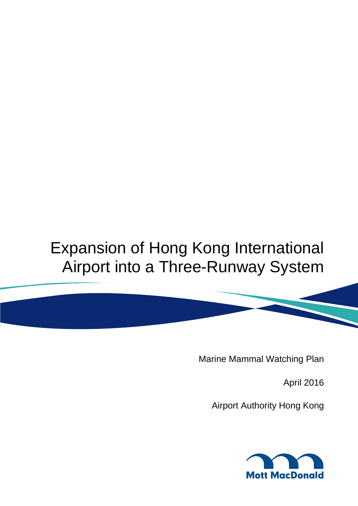# Expansion of Hong Kong International Airport into a Three-Runway System

Marine Mammal Watching Plan

April 2016

Airport Authority Hong Kong

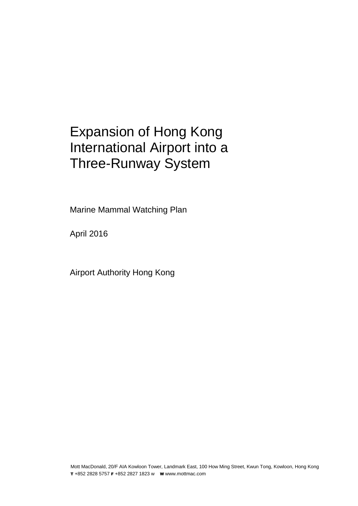### Expansion of Hong Kong International Airport into a Three-Runway System

Marine Mammal Watching Plan

April 2016

Airport Authority Hong Kong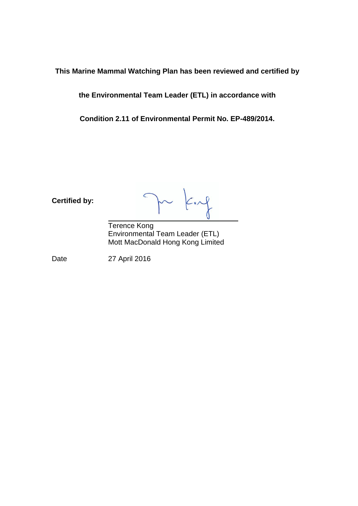**This Marine Mammal Watching Plan has been reviewed and certified by** 

**the Environmental Team Leader (ETL) in accordance with** 

**Condition 2.11 of Environmental Permit No. EP-489/2014.**

**Certified by:**

 $\subset$ 

Terence Kong Environmental Team Leader (ETL) Mott MacDonald Hong Kong Limited

Date 27 April 2016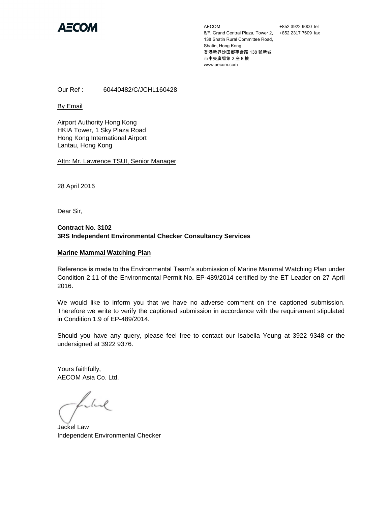

AECOM 8/F, Grand Central Plaza, Tower 2, +852 2317 7609 fax 138 Shatin Rural Committee Road, Shatin, Hong Kong 香港新界沙田鄉事會路 138 號新城 市中央廣場第 2 座 8 樓 www.aecom.com

+852 3922 9000 tel

Our Ref : 60440482/C/JCHL160428

By Email

Airport Authority Hong Kong HKIA Tower, 1 Sky Plaza Road Hong Kong International Airport Lantau, Hong Kong

Attn: Mr. Lawrence TSUI, Senior Manager

28 April 2016

Dear Sir,

#### **Contract No. 3102 3RS Independent Environmental Checker Consultancy Services**

#### **Marine Mammal Watching Plan**

Reference is made to the Environmental Team's submission of Marine Mammal Watching Plan under Condition 2.11 of the Environmental Permit No. EP-489/2014 certified by the ET Leader on 27 April 2016.

We would like to inform you that we have no adverse comment on the captioned submission. Therefore we write to verify the captioned submission in accordance with the requirement stipulated in Condition 1.9 of EP-489/2014.

Should you have any query, please feel free to contact our Isabella Yeung at 3922 9348 or the undersigned at 3922 9376.

Yours faithfully, AECOM Asia Co. Ltd.

Llad

Jackel Law Independent Environmental Checker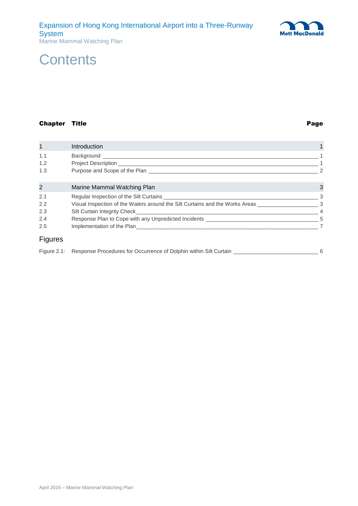

### Chapter Title **Page**

| $\mathbf{1}$   | Introduction                                                                                                                                                                                                                         |               |
|----------------|--------------------------------------------------------------------------------------------------------------------------------------------------------------------------------------------------------------------------------------|---------------|
| 1.1            | Background <b>Exercise Service Service Service Service Service Service Service Service Service Service Service Service Service Service Service Service Service Service Service Service Service Service Service Service Service S</b> |               |
| 1.2            |                                                                                                                                                                                                                                      |               |
| 1.3            |                                                                                                                                                                                                                                      | $\mathcal{P}$ |
| $\overline{2}$ | Marine Mammal Watching Plan                                                                                                                                                                                                          | 3             |
| 2.1            |                                                                                                                                                                                                                                      |               |
| 2.2            | Visual Inspection of the Waters around the Silt Curtains and the Works Areas                                                                                                                                                         | -3            |
| 2.3            |                                                                                                                                                                                                                                      |               |
| 2.4            |                                                                                                                                                                                                                                      |               |
| 2.5            | Implementation of the Plan <b>Example 2008</b> Service and the United States of the Plan                                                                                                                                             |               |
| <b>Figures</b> |                                                                                                                                                                                                                                      |               |

| Figure 2.1: Response Procedures for Occurrence of Dolphin within Silt Curtain |  |  |
|-------------------------------------------------------------------------------|--|--|
|-------------------------------------------------------------------------------|--|--|

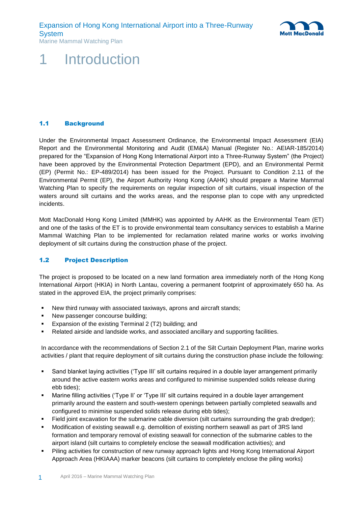

### <span id="page-5-0"></span>**Introduction**

#### <span id="page-5-1"></span>1.1 Background

Under the Environmental Impact Assessment Ordinance, the Environmental Impact Assessment (EIA) Report and the Environmental Monitoring and Audit (EM&A) Manual (Register No.: AEIAR-185/2014) prepared for the "Expansion of Hong Kong International Airport into a Three-Runway System" (the Project) have been approved by the Environmental Protection Department (EPD), and an Environmental Permit (EP) (Permit No.: EP-489/2014) has been issued for the Project. Pursuant to Condition 2.11 of the Environmental Permit (EP), the Airport Authority Hong Kong (AAHK) should prepare a Marine Mammal Watching Plan to specify the requirements on regular inspection of silt curtains, visual inspection of the waters around silt curtains and the works areas, and the response plan to cope with any unpredicted incidents.

Mott MacDonald Hong Kong Limited (MMHK) was appointed by AAHK as the Environmental Team (ET) and one of the tasks of the ET is to provide environmental team consultancy services to establish a Marine Mammal Watching Plan to be implemented for reclamation related marine works or works involving deployment of silt curtains during the construction phase of the project.

#### <span id="page-5-2"></span>1.2 Project Description

The project is proposed to be located on a new land formation area immediately north of the Hong Kong International Airport (HKIA) in North Lantau, covering a permanent footprint of approximately 650 ha. As stated in the approved EIA, the project primarily comprises:

- New third runway with associated taxiways, aprons and aircraft stands;
- New passenger concourse building;
- Expansion of the existing Terminal 2 (T2) building; and
- Related airside and landside works, and associated ancillary and supporting facilities.

In accordance with the recommendations of Section 2.1 of the Silt Curtain Deployment Plan, marine works activities / plant that require deployment of silt curtains during the construction phase include the following:

- Sand blanket laying activities ('Type III' silt curtains required in a double layer arrangement primarily around the active eastern works areas and configured to minimise suspended solids release during ebb tides);
- Marine filling activities ('Type II' or 'Type III' silt curtains required in a double layer arrangement primarily around the eastern and south-western openings between partially completed seawalls and configured to minimise suspended solids release during ebb tides);
- Field joint excavation for the submarine cable diversion (silt curtains surrounding the grab dredger);
- Modification of existing seawall e.g. demolition of existing northern seawall as part of 3RS land formation and temporary removal of existing seawall for connection of the submarine cables to the airport island (silt curtains to completely enclose the seawall modification activities); and
- Piling activities for construction of new runway approach lights and Hong Kong International Airport Approach Area (HKIAAA) marker beacons (silt curtains to completely enclose the piling works)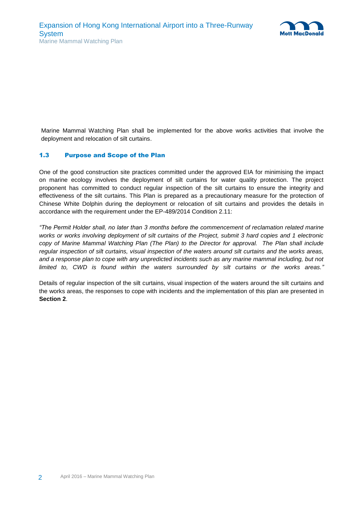

Marine Mammal Watching Plan shall be implemented for the above works activities that involve the deployment and relocation of silt curtains.

#### <span id="page-6-0"></span>1.3 Purpose and Scope of the Plan

One of the good construction site practices committed under the approved EIA for minimising the impact on marine ecology involves the deployment of silt curtains for water quality protection. The project proponent has committed to conduct regular inspection of the silt curtains to ensure the integrity and effectiveness of the silt curtains. This Plan is prepared as a precautionary measure for the protection of Chinese White Dolphin during the deployment or relocation of silt curtains and provides the details in accordance with the requirement under the EP-489/2014 Condition 2.11:

*"The Permit Holder shall, no later than 3 months before the commencement of reclamation related marine works or works involving deployment of silt curtains of the Project, submit 3 hard copies and 1 electronic copy of Marine Mammal Watching Plan (The Plan) to the Director for approval. The Plan shall include regular inspection of silt curtains, visual inspection of the waters around silt curtains and the works areas,*  and a response plan to cope with any unpredicted incidents such as any marine mammal including, but not *limited to, CWD is found within the waters surrounded by silt curtains or the works areas."*

Details of regular inspection of the silt curtains, visual inspection of the waters around the silt curtains and the works areas, the responses to cope with incidents and the implementation of this plan are presented in **Section 2**.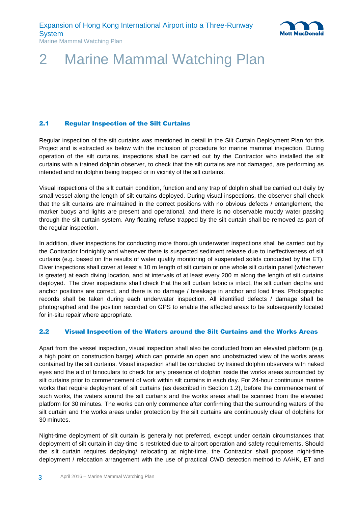

## <span id="page-7-0"></span>2 Marine Mammal Watching Plan

### <span id="page-7-1"></span>2.1 Regular Inspection of the Silt Curtains

Regular inspection of the silt curtains was mentioned in detail in the Silt Curtain Deployment Plan for this Project and is extracted as below with the inclusion of procedure for marine mammal inspection. During operation of the silt curtains, inspections shall be carried out by the Contractor who installed the silt curtains with a trained dolphin observer, to check that the silt curtains are not damaged, are performing as intended and no dolphin being trapped or in vicinity of the silt curtains.

Visual inspections of the silt curtain condition, function and any trap of dolphin shall be carried out daily by small vessel along the length of silt curtains deployed. During visual inspections, the observer shall check that the silt curtains are maintained in the correct positions with no obvious defects / entanglement, the marker buoys and lights are present and operational, and there is no observable muddy water passing through the silt curtain system. Any floating refuse trapped by the silt curtain shall be removed as part of the regular inspection.

In addition, diver inspections for conducting more thorough underwater inspections shall be carried out by the Contractor fortnightly and whenever there is suspected sediment release due to ineffectiveness of silt curtains (e.g. based on the results of water quality monitoring of suspended solids conducted by the ET). Diver inspections shall cover at least a 10 m length of silt curtain or one whole silt curtain panel (whichever is greater) at each diving location, and at intervals of at least every 200 m along the length of silt curtains deployed. The diver inspections shall check that the silt curtain fabric is intact, the silt curtain depths and anchor positions are correct, and there is no damage / breakage in anchor and load lines. Photographic records shall be taken during each underwater inspection. All identified defects / damage shall be photographed and the position recorded on GPS to enable the affected areas to be subsequently located for in-situ repair where appropriate.

#### <span id="page-7-2"></span>2.2 Visual Inspection of the Waters around the Silt Curtains and the Works Areas

Apart from the vessel inspection, visual inspection shall also be conducted from an elevated platform (e.g. a high point on construction barge) which can provide an open and unobstructed view of the works areas contained by the silt curtains. Visual inspection shall be conducted by trained dolphin observers with naked eyes and the aid of binoculars to check for any presence of dolphin inside the works areas surrounded by silt curtains prior to commencement of work within silt curtains in each day. For 24-hour continuous marine works that require deployment of silt curtains (as described in Section 1.2), before the commencement of such works, the waters around the silt curtains and the works areas shall be scanned from the elevated platform for 30 minutes. The works can only commence after confirming that the surrounding waters of the silt curtain and the works areas under protection by the silt curtains are continuously clear of dolphins for 30 minutes.

Night-time deployment of silt curtain is generally not preferred, except under certain circumstances that deployment of silt curtain in day-time is restricted due to airport operation and safety requirements. Should the silt curtain requires deploying/ relocating at night-time, the Contractor shall propose night-time deployment / relocation arrangement with the use of practical CWD detection method to AAHK, ET and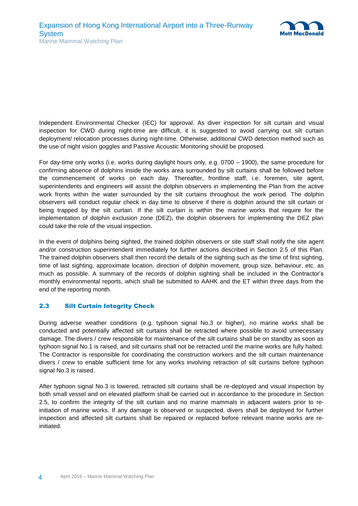

Independent Environmental Checker (IEC) for approval. As diver inspection for silt curtain and visual inspection for CWD during night-time are difficult, it is suggested to avoid carrying out silt curtain deployment/ relocation processes during night-time. Otherwise, additional CWD detection method such as the use of night vision goggles and Passive Acoustic Monitoring should be proposed.

For day-time only works (i.e. works during daylight hours only, e.g. 0700 – 1900), the same procedure for confirming absence of dolphins inside the works area surrounded by silt curtains shall be followed before the commencement of works on each day. Thereafter, frontline staff, i.e. foremen, site agent, superintendents and engineers will assist the dolphin observers in implementing the Plan from the active work fronts within the water surrounded by the silt curtains throughout the work period. The dolphin observers will conduct regular check in day time to observe if there is dolphin around the silt curtain or being trapped by the silt curtain. If the silt curtain is within the marine works that require for the implementation of dolphin exclusion zone (DEZ), the dolphin observers for implementing the DEZ plan could take the role of the visual inspection.

In the event of dolphins being sighted, the trained dolphin observers or site staff shall notify the site agent and/or construction superintendent immediately for further actions described in Section 2.5 of this Plan. The trained dolphin observers shall then record the details of the sighting such as the time of first sighting, time of last sighting, approximate location, direction of dolphin movement, group size, behaviour, etc. as much as possible. A summary of the records of dolphin sighting shall be included in the Contractor's monthly environmental reports, which shall be submitted to AAHK and the ET within three days from the end of the reporting month.

### <span id="page-8-0"></span>2.3 Silt Curtain Integrity Check

During adverse weather conditions (e.g. typhoon signal No.3 or higher), no marine works shall be conducted and potentially affected silt curtains shall be retracted where possible to avoid unnecessary damage. The divers / crew responsible for maintenance of the silt curtains shall be on standby as soon as typhoon signal No.1 is raised, and silt curtains shall not be retracted until the marine works are fully halted. The Contractor is responsible for coordinating the construction workers and the silt curtain maintenance divers / crew to enable sufficient time for any works involving retraction of silt curtains before typhoon signal No.3 is raised.

After typhoon signal No.3 is lowered, retracted silt curtains shall be re-deployed and visual inspection by both small vessel and on elevated platform shall be carried out in accordance to the procedure in Section 2.5, to confirm the integrity of the silt curtain and no marine mammals in adjacent waters prior to reinitiation of marine works. If any damage is observed or suspected, divers shall be deployed for further inspection and affected silt curtains shall be repaired or replaced before relevant marine works are reinitiated.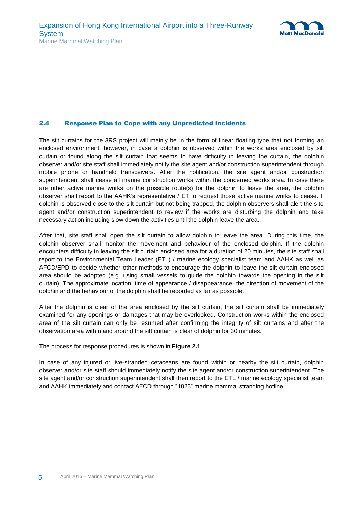

#### <span id="page-9-0"></span>2.4 Response Plan to Cope with any Unpredicted Incidents

The silt curtains for the 3RS project will mainly be in the form of linear floating type that not forming an enclosed environment, however, in case a dolphin is observed within the works area enclosed by silt curtain or found along the silt curtain that seems to have difficulty in leaving the curtain, the dolphin observer and/or site staff shall immediately notify the site agent and/or construction superintendent through mobile phone or handheld transceivers. After the notification, the site agent and/or construction superintendent shall cease all marine construction works within the concerned works area. In case there are other active marine works on the possible route(s) for the dolphin to leave the area, the dolphin observer shall report to the AAHK's representative / ET to request those active marine works to cease. If dolphin is observed close to the silt curtain but not being trapped, the dolphin observers shall alert the site agent and/or construction superintendent to review if the works are disturbing the dolphin and take necessary action including slow down the activities until the dolphin leave the area.

After that, site staff shall open the silt curtain to allow dolphin to leave the area. During this time, the dolphin observer shall monitor the movement and behaviour of the enclosed dolphin. If the dolphin encounters difficulty in leaving the silt curtain enclosed area for a duration of 20 minutes, the site staff shall report to the Environmental Team Leader (ETL) / marine ecology specialist team and AAHK as well as AFCD/EPD to decide whether other methods to encourage the dolphin to leave the silt curtain enclosed area should be adopted (e.g. using small vessels to guide the dolphin towards the opening in the silt curtain). The approximate location, time of appearance / disappearance, the direction of movement of the dolphin and the behaviour of the dolphin shall be recorded as far as possible.

After the dolphin is clear of the area enclosed by the silt curtain, the silt curtain shall be immediately examined for any openings or damages that may be overlooked. Construction works within the enclosed area of the silt curtain can only be resumed after confirming the integrity of silt curtains and after the observation area within and around the silt curtain is clear of dolphin for 30 minutes.

The process for response procedures is shown in **Figure 2.1**.

In case of any injured or live-stranded cetaceans are found within or nearby the silt curtain, dolphin observer and/or site staff should immediately notify the site agent and/or construction superintendent. The site agent and/or construction superintendent shall then report to the ETL / marine ecology specialist team and AAHK immediately and contact AFCD through "1823" marine mammal stranding hotline.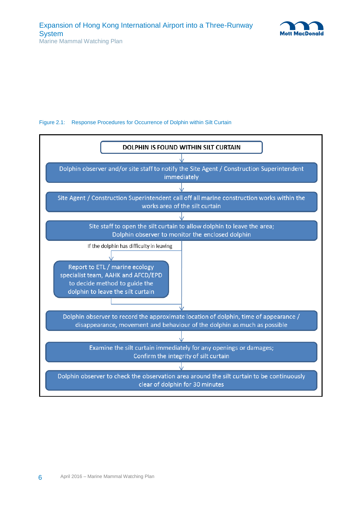

#### <span id="page-10-0"></span>Figure 2.1: Response Procedures for Occurrence of Dolphin within Silt Curtain

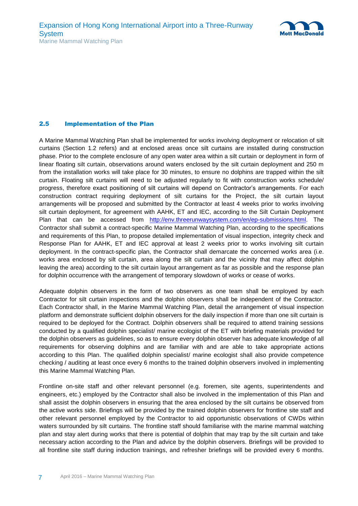

#### <span id="page-11-0"></span>2.5 Implementation of the Plan

A Marine Mammal Watching Plan shall be implemented for works involving deployment or relocation of silt curtains (Section 1.2 refers) and at enclosed areas once silt curtains are installed during construction phase. Prior to the complete enclosure of any open water area within a silt curtain or deployment in form of linear floating silt curtain, observations around waters enclosed by the silt curtain deployment and 250 m from the installation works will take place for 30 minutes, to ensure no dolphins are trapped within the silt curtain. Floating silt curtains will need to be adjusted regularly to fit with construction works schedule/ progress, therefore exact positioning of silt curtains will depend on Contractor's arrangements. For each construction contract requiring deployment of silt curtains for the Project, the silt curtain layout arrangements will be proposed and submitted by the Contractor at least 4 weeks prior to works involving silt curtain deployment, for agreement with AAHK, ET and IEC, according to the Silt Curtain Deployment Plan that can be accessed from [http://env.threerunwaysystem.com/en/ep-submissions.html.](http://env.threerunwaysystem.com/en/ep-submissions.html) The Contractor shall submit a contract-specific Marine Mammal Watching Plan, according to the specifications and requirements of this Plan, to propose detailed implementation of visual inspection, integrity check and Response Plan for AAHK, ET and IEC approval at least 2 weeks prior to works involving silt curtain deployment. In the contract-specific plan, the Contractor shall demarcate the concerned works area (i.e. works area enclosed by silt curtain, area along the silt curtain and the vicinity that may affect dolphin leaving the area) according to the silt curtain layout arrangement as far as possible and the response plan for dolphin occurrence with the arrangement of temporary slowdown of works or cease of works.

Adequate dolphin observers in the form of two observers as one team shall be employed by each Contractor for silt curtain inspections and the dolphin observers shall be independent of the Contractor. Each Contractor shall, in the Marine Mammal Watching Plan, detail the arrangement of visual inspection platform and demonstrate sufficient dolphin observers for the daily inspection if more than one silt curtain is required to be deployed for the Contract. Dolphin observers shall be required to attend training sessions conducted by a qualified dolphin specialist/ marine ecologist of the ET with briefing materials provided for the dolphin observers as guidelines, so as to ensure every dolphin observer has adequate knowledge of all requirements for observing dolphins and are familiar with and are able to take appropriate actions according to this Plan. The qualified dolphin specialist/ marine ecologist shall also provide competence checking / auditing at least once every 6 months to the trained dolphin observers involved in implementing this Marine Mammal Watching Plan.

Frontline on-site staff and other relevant personnel (e.g. foremen, site agents, superintendents and engineers, etc.) employed by the Contractor shall also be involved in the implementation of this Plan and shall assist the dolphin observers in ensuring that the area enclosed by the silt curtains be observed from the active works side. Briefings will be provided by the trained dolphin observers for frontline site staff and other relevant personnel employed by the Contractor to aid opportunistic observations of CWDs within waters surrounded by silt curtains. The frontline staff should familiarise with the marine mammal watching plan and stay alert during works that there is potential of dolphin that may trap by the silt curtain and take necessary action according to the Plan and advice by the dolphin observers. Briefings will be provided to all frontline site staff during induction trainings, and refresher briefings will be provided every 6 months.